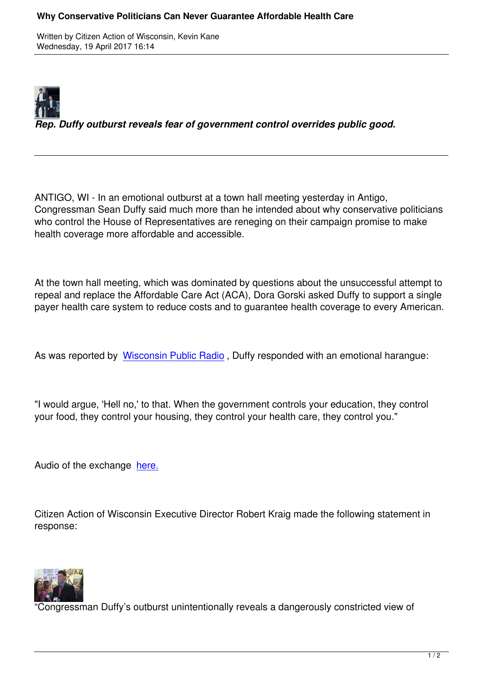Witten action action of Wisconsin, Kevin Kanen, Kevin Kanen, Kevin Kanen, Kevin Kanen, Kevin Kanen, Kevin Kane



ANTIGO, WI - In an emotional outburst at a town hall meeting yesterday in Antigo, Congressman Sean Duffy said much more than he intended about why conservative politicians who control the House of Representatives are reneging on their campaign promise to make health coverage more affordable and accessible.

At the town hall meeting, which was dominated by questions about the unsuccessful attempt to repeal and replace the Affordable Care Act (ACA), Dora Gorski asked Duffy to support a single payer health care system to reduce costs and to guarantee health coverage to every American.

As was reported by Wisconsin Public Radio, Duffy responded with an emotional harangue:

"I would argue, 'Hell [no,' to that. When the go](http://www.wpr.org/republican-sean-duffy-faces-health-care-questions-town-hall)vernment controls your education, they control your food, they control your housing, they control your health care, they control you."

Audio of the exchange here.

Citizen Action of Wisco[nsin E](http://www.wpr.org/listen/1091696)xecutive Director Robert Kraig made the following statement in response:



"Congressman Duffy's outburst unintentionally reveals a dangerously constricted view of